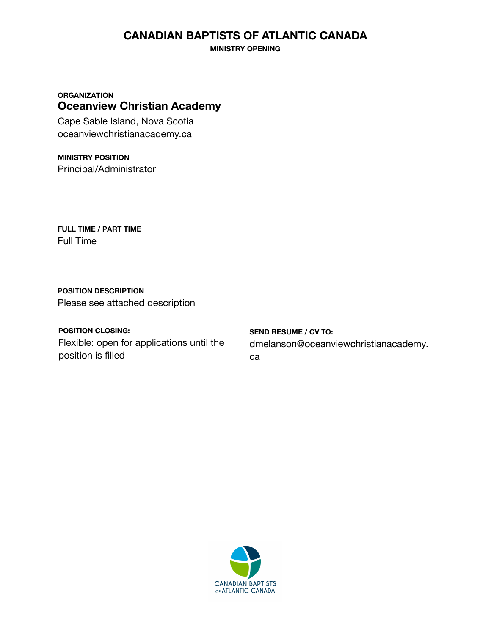## **CANADIAN BAPTISTS OF ATLANTIC CANADA**

**MINISTRY OPENING**

**ORGANIZATION Oceanview Christian Academy**

Cape Sable Island, Nova Scotia oceanviewchristianacademy.ca

**MINISTRY POSITION** Principal/Administrator

**FULL TIME / PART TIME** Full Time

**POSITION DESCRIPTION** Please see attached description

**POSITION CLOSING:** Flexible: open for applications until the position is filled

**SEND RESUME / CV TO:** dmelanson@oceanviewchristianacademy. ca

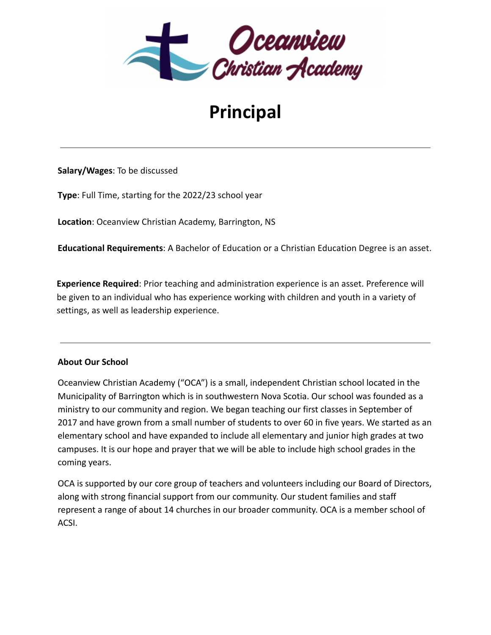

## **Principal**

**Salary/Wages**: To be discussed

**Type**: Full Time, starting for the 2022/23 school year

**Location**: Oceanview Christian Academy, Barrington, NS

**Educational Requirements**: A Bachelor of Education or a Christian Education Degree is an asset.

**Experience Required**: Prior teaching and administration experience is an asset. Preference will be given to an individual who has experience working with children and youth in a variety of settings, as well as leadership experience.

## **About Our School**

Oceanview Christian Academy ("OCA") is a small, independent Christian school located in the Municipality of Barrington which is in southwestern Nova Scotia. Our school was founded as a ministry to our community and region. We began teaching our first classes in September of 2017 and have grown from a small number of students to over 60 in five years. We started as an elementary school and have expanded to include all elementary and junior high grades at two campuses. It is our hope and prayer that we will be able to include high school grades in the coming years.

OCA is supported by our core group of teachers and volunteers including our Board of Directors, along with strong financial support from our community. Our student families and staff represent a range of about 14 churches in our broader community. OCA is a member school of ACSI.